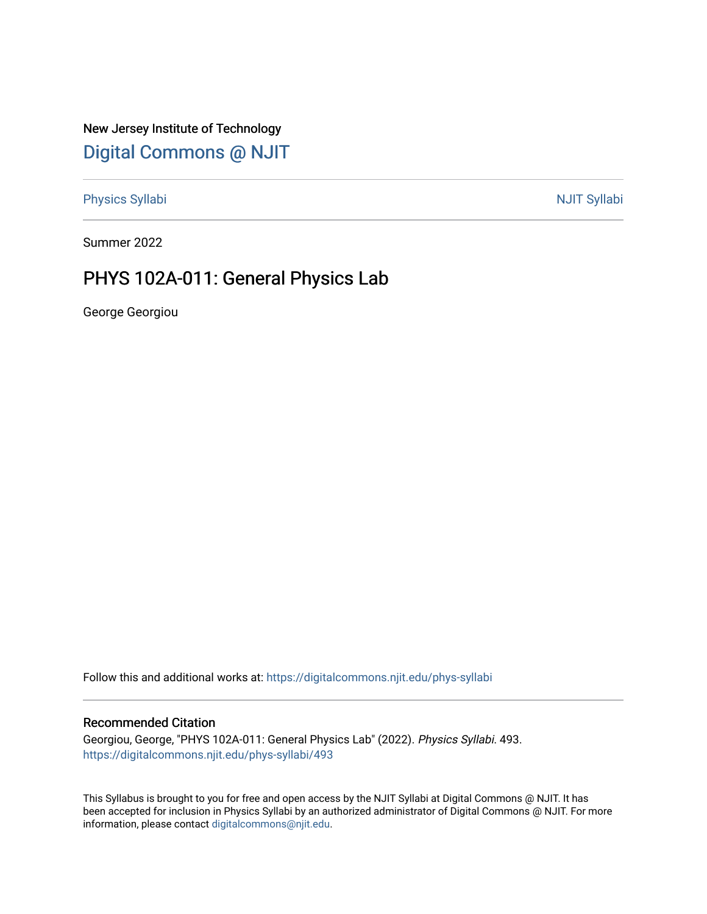New Jersey Institute of Technology [Digital Commons @ NJIT](https://digitalcommons.njit.edu/) 

[Physics Syllabi](https://digitalcommons.njit.edu/phys-syllabi) **NJIT Syllabi** [NJIT Syllabi](https://digitalcommons.njit.edu/syllabi) and the syllabidity of the syllabidity of the syllabidity of the syllabidity of the syllabidity of the syllabidity of the syllabidity of the syllabidity of the syllabidity of the

Summer 2022

# PHYS 102A-011: General Physics Lab

George Georgiou

Follow this and additional works at: [https://digitalcommons.njit.edu/phys-syllabi](https://digitalcommons.njit.edu/phys-syllabi?utm_source=digitalcommons.njit.edu%2Fphys-syllabi%2F493&utm_medium=PDF&utm_campaign=PDFCoverPages) 

## Recommended Citation

Georgiou, George, "PHYS 102A-011: General Physics Lab" (2022). Physics Syllabi. 493. [https://digitalcommons.njit.edu/phys-syllabi/493](https://digitalcommons.njit.edu/phys-syllabi/493?utm_source=digitalcommons.njit.edu%2Fphys-syllabi%2F493&utm_medium=PDF&utm_campaign=PDFCoverPages) 

This Syllabus is brought to you for free and open access by the NJIT Syllabi at Digital Commons @ NJIT. It has been accepted for inclusion in Physics Syllabi by an authorized administrator of Digital Commons @ NJIT. For more information, please contact [digitalcommons@njit.edu.](mailto:digitalcommons@njit.edu)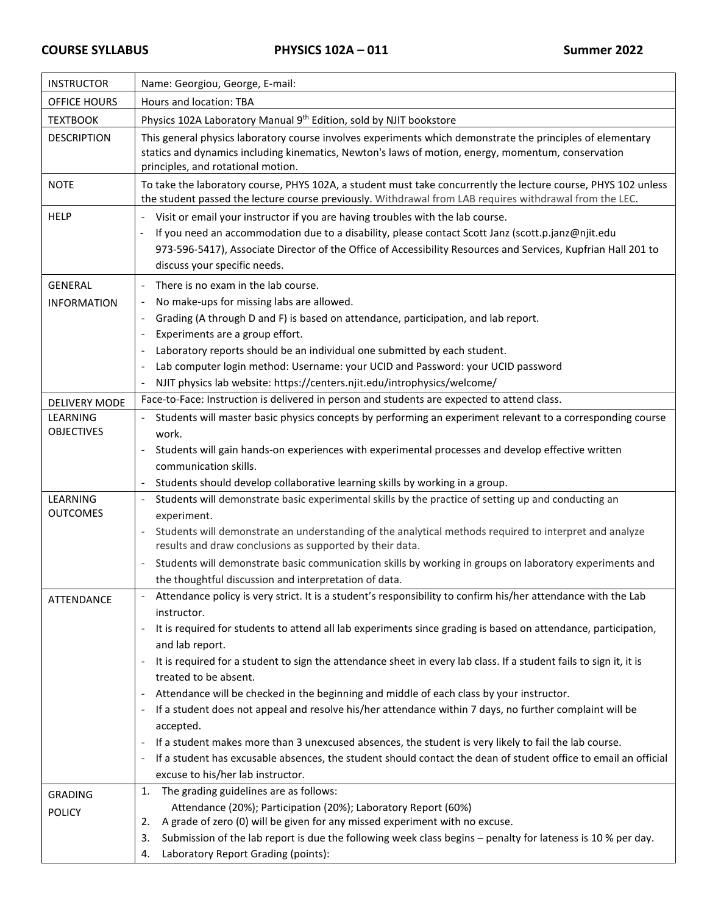| <b>INSTRUCTOR</b>             | Name: Georgiou, George, E-mail:                                                                                                                                                                                                                                                                                                       |  |  |  |
|-------------------------------|---------------------------------------------------------------------------------------------------------------------------------------------------------------------------------------------------------------------------------------------------------------------------------------------------------------------------------------|--|--|--|
| <b>OFFICE HOURS</b>           | Hours and location: TBA                                                                                                                                                                                                                                                                                                               |  |  |  |
| <b>TEXTBOOK</b>               | Physics 102A Laboratory Manual 9th Edition, sold by NJIT bookstore                                                                                                                                                                                                                                                                    |  |  |  |
| <b>DESCRIPTION</b>            | This general physics laboratory course involves experiments which demonstrate the principles of elementary<br>statics and dynamics including kinematics, Newton's laws of motion, energy, momentum, conservation<br>principles, and rotational motion.                                                                                |  |  |  |
| <b>NOTE</b>                   | To take the laboratory course, PHYS 102A, a student must take concurrently the lecture course, PHYS 102 unless<br>the student passed the lecture course previously. Withdrawal from LAB requires withdrawal from the LEC.                                                                                                             |  |  |  |
| <b>HELP</b>                   | Visit or email your instructor if you are having troubles with the lab course.<br>If you need an accommodation due to a disability, please contact Scott Janz (scott.p.janz@njit.edu<br>973-596-5417), Associate Director of the Office of Accessibility Resources and Services, Kupfrian Hall 201 to<br>discuss your specific needs. |  |  |  |
| <b>GENERAL</b>                | There is no exam in the lab course.                                                                                                                                                                                                                                                                                                   |  |  |  |
| <b>INFORMATION</b>            | No make-ups for missing labs are allowed.                                                                                                                                                                                                                                                                                             |  |  |  |
|                               | Grading (A through D and F) is based on attendance, participation, and lab report.                                                                                                                                                                                                                                                    |  |  |  |
|                               | Experiments are a group effort.                                                                                                                                                                                                                                                                                                       |  |  |  |
|                               | Laboratory reports should be an individual one submitted by each student.<br>$\sim$                                                                                                                                                                                                                                                   |  |  |  |
|                               | Lab computer login method: Username: your UCID and Password: your UCID password                                                                                                                                                                                                                                                       |  |  |  |
|                               | NJIT physics lab website: https://centers.njit.edu/introphysics/welcome/                                                                                                                                                                                                                                                              |  |  |  |
| <b>DELIVERY MODE</b>          | Face-to-Face: Instruction is delivered in person and students are expected to attend class.                                                                                                                                                                                                                                           |  |  |  |
| LEARNING<br><b>OBJECTIVES</b> | Students will master basic physics concepts by performing an experiment relevant to a corresponding course<br>work.                                                                                                                                                                                                                   |  |  |  |
|                               | Students will gain hands-on experiences with experimental processes and develop effective written                                                                                                                                                                                                                                     |  |  |  |
|                               | communication skills.                                                                                                                                                                                                                                                                                                                 |  |  |  |
|                               | Students should develop collaborative learning skills by working in a group.<br>$\omega_{\rm c}$                                                                                                                                                                                                                                      |  |  |  |
| <b>LEARNING</b>               | Students will demonstrate basic experimental skills by the practice of setting up and conducting an                                                                                                                                                                                                                                   |  |  |  |
| <b>OUTCOMES</b>               | experiment.                                                                                                                                                                                                                                                                                                                           |  |  |  |
|                               | Students will demonstrate an understanding of the analytical methods required to interpret and analyze<br>$\overline{\phantom{a}}$<br>results and draw conclusions as supported by their data.                                                                                                                                        |  |  |  |
|                               | Students will demonstrate basic communication skills by working in groups on laboratory experiments and                                                                                                                                                                                                                               |  |  |  |
|                               | the thoughtful discussion and interpretation of data.                                                                                                                                                                                                                                                                                 |  |  |  |
| ATTENDANCE                    | Attendance policy is very strict. It is a student's responsibility to confirm his/her attendance with the Lab<br>instructor.                                                                                                                                                                                                          |  |  |  |
|                               | It is required for students to attend all lab experiments since grading is based on attendance, participation,<br>$\overline{\phantom{a}}$<br>and lab report.                                                                                                                                                                         |  |  |  |
|                               | It is required for a student to sign the attendance sheet in every lab class. If a student fails to sign it, it is<br>$\pm$                                                                                                                                                                                                           |  |  |  |
|                               | treated to be absent.                                                                                                                                                                                                                                                                                                                 |  |  |  |
|                               | Attendance will be checked in the beginning and middle of each class by your instructor.<br>If a student does not appeal and resolve his/her attendance within 7 days, no further complaint will be                                                                                                                                   |  |  |  |
|                               | $\sim$<br>accepted.                                                                                                                                                                                                                                                                                                                   |  |  |  |
|                               | If a student makes more than 3 unexcused absences, the student is very likely to fail the lab course.                                                                                                                                                                                                                                 |  |  |  |
|                               | If a student has excusable absences, the student should contact the dean of student office to email an official<br>$\sim$                                                                                                                                                                                                             |  |  |  |
|                               | excuse to his/her lab instructor.                                                                                                                                                                                                                                                                                                     |  |  |  |
| <b>GRADING</b>                | The grading guidelines are as follows:<br>1.                                                                                                                                                                                                                                                                                          |  |  |  |
| <b>POLICY</b>                 | Attendance (20%); Participation (20%); Laboratory Report (60%)                                                                                                                                                                                                                                                                        |  |  |  |
|                               | A grade of zero (0) will be given for any missed experiment with no excuse.<br>2.                                                                                                                                                                                                                                                     |  |  |  |
|                               | Submission of the lab report is due the following week class begins - penalty for lateness is 10 % per day.<br>3.                                                                                                                                                                                                                     |  |  |  |
|                               | Laboratory Report Grading (points):<br>4.                                                                                                                                                                                                                                                                                             |  |  |  |